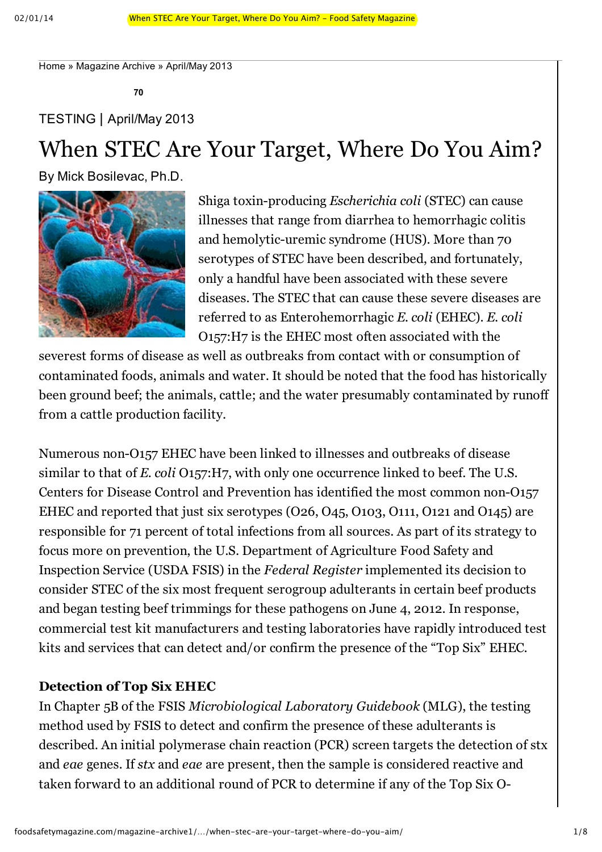Home » Magazine Archive » April/May 2013

**70**

## TESTING **|** April/May 2013

# When STEC Are Your Target, Where Do You Aim?

By Mick Bosilevac, Ph.D.



Shiga toxin-producing *Escherichia coli* (STEC) can cause illnesses that range from diarrhea to hemorrhagic colitis and hemolytic-uremic syndrome (HUS). More than 70 serotypes of STEC have been described, and fortunately, only a handful have been associated with these severe diseases. The STEC that can cause these severe diseases are referred to as Enterohemorrhagic *E. coli* (EHEC). *E. coli* O157:H7 is the EHEC most often associated with the

severest forms of disease as well as outbreaks from contact with or consumption of contaminated foods, animals and water. It should be noted that the food has historically been ground beef; the animals, cattle; and the water presumably contaminated by runoff from a cattle production facility.

Numerous non-O157 EHEC have been linked to illnesses and outbreaks of disease similar to that of *E. coli* O157:H7, with only one occurrence linked to beef. The U.S. Centers for Disease Control and Prevention has identified the most common non-O157 EHEC and reported that just six serotypes (O26, O45, O103, O111, O121 and O145) are responsible for 71 percent of total infections from all sources. As part of its strategy to focus more on prevention, the U.S. Department of Agriculture Food Safety and Inspection Service (USDA FSIS) in the *Federal Register* implemented its decision to consider STEC of the six most frequent serogroup adulterants in certain beef products and began testing beef trimmings for these pathogens on June 4, 2012. In response, commercial test kit manufacturers and testing laboratories have rapidly introduced test kits and services that can detect and/or confirm the presence of the "Top Six" EHEC.

#### **Detection of Top Six EHEC**

In Chapter 5B of the FSIS *Microbiological Laboratory Guidebook* (MLG), the testing method used by FSIS to detect and confirm the presence of these adulterants is described. An initial polymerase chain reaction (PCR) screen targets the detection of stx and *eae* genes. If *stx* and *eae* are present, then the sample is considered reactive and taken forward to an additional round of PCR to determine if any of the Top Six O-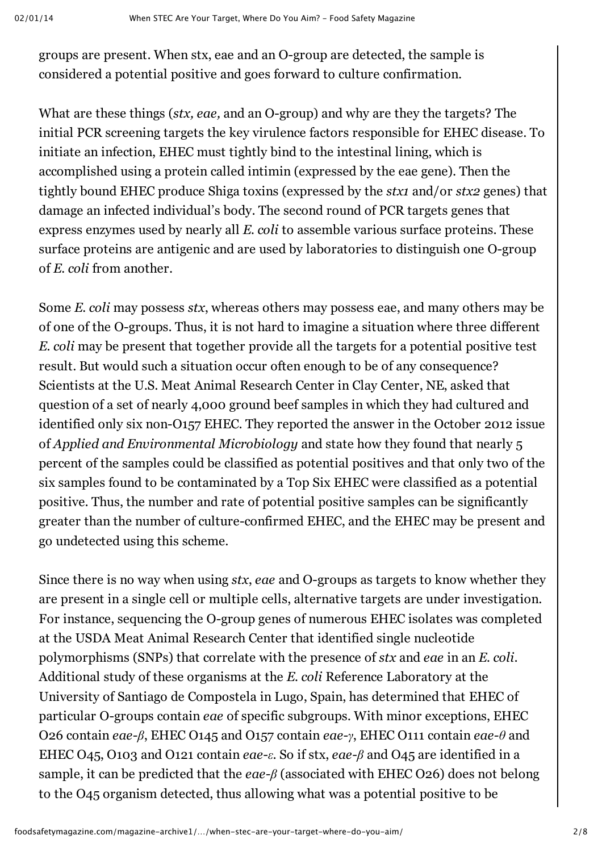groups are present. When stx, eae and an O-group are detected, the sample is considered a potential positive and goes forward to culture confirmation.

What are these things (*stx, eae,* and an O-group) and why are they the targets? The initial PCR screening targets the key virulence factors responsible for EHEC disease. To initiate an infection, EHEC must tightly bind to the intestinal lining, which is accomplished using a protein called intimin (expressed by the eae gene). Then the tightly bound EHEC produce Shiga toxins (expressed by the *stx1* and/or *stx2* genes) that damage an infected individual's body. The second round of PCR targets genes that express enzymes used by nearly all *E. coli* to assemble various surface proteins. These surface proteins are antigenic and are used by laboratories to distinguish one O-group of *E. coli* from another.

Some *E. coli* may possess *stx*, whereas others may possess eae, and many others may be of one of the O-groups. Thus, it is not hard to imagine a situation where three different *E. coli* may be present that together provide all the targets for a potential positive test result. But would such a situation occur often enough to be of any consequence? Scientists at the U.S. Meat Animal Research Center in Clay Center, NE, asked that question of a set of nearly 4,000 ground beef samples in which they had cultured and identified only six non-O157 EHEC. They reported the answer in the October 2012 issue of *Applied and Environmental Microbiology* and state how they found that nearly 5 percent of the samples could be classified as potential positives and that only two of the six samples found to be contaminated by a Top Six EHEC were classified as a potential positive. Thus, the number and rate of potential positive samples can be significantly greater than the number of culture-confirmed EHEC, and the EHEC may be present and go undetected using this scheme.

Since there is no way when using *stx*, *eae* and O-groups as targets to know whether they are present in a single cell or multiple cells, alternative targets are under investigation. For instance, sequencing the O-group genes of numerous EHEC isolates was completed at the USDA Meat Animal Research Center that identified single nucleotide polymorphisms (SNPs) that correlate with the presence of *stx* and *eae* in an *E. coli*. Additional study of these organisms at the *E. coli* Reference Laboratory at the University of Santiago de Compostela in Lugo, Spain, has determined that EHEC of particular O-groups contain *eae* of specific subgroups. With minor exceptions, EHEC O26 contain *eaeβ*, EHEC O145 and O157 contain *eaeγ*, EHEC O111 contain *eaeθ* and EHEC O45, O103 and O121 contain *eaeε*. So if stx, *eaeβ* and O45 are identified in a sample, it can be predicted that the *eaeβ* (associated with EHEC O26) does not belong to the O45 organism detected, thus allowing what was a potential positive to be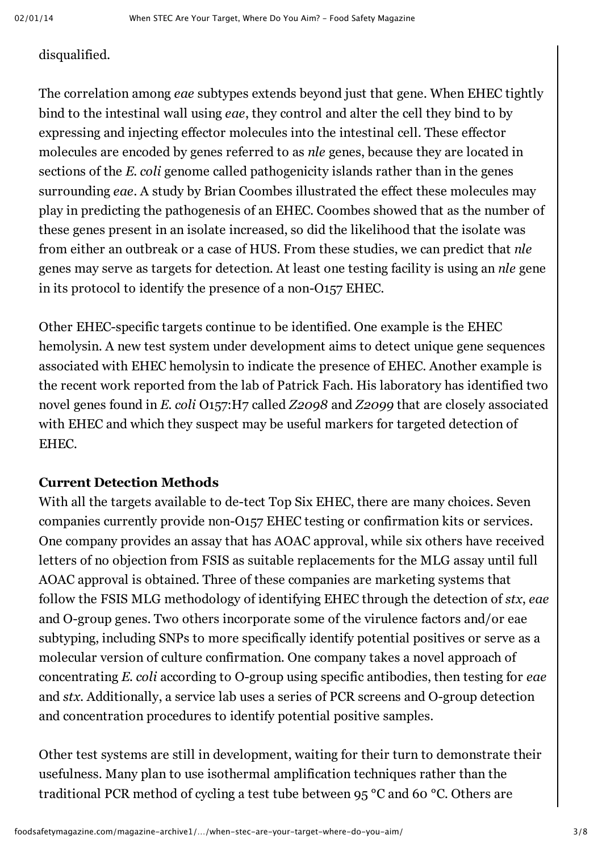### disqualified.

The correlation among *eae* subtypes extends beyond just that gene. When EHEC tightly bind to the intestinal wall using *eae*, they control and alter the cell they bind to by expressing and injecting effector molecules into the intestinal cell. These effector molecules are encoded by genes referred to as *nle* genes, because they are located in sections of the *E. coli* genome called pathogenicity islands rather than in the genes surrounding *eae*. A study by Brian Coombes illustrated the effect these molecules may play in predicting the pathogenesis of an EHEC. Coombes showed that as the number of these genes present in an isolate increased, so did the likelihood that the isolate was from either an outbreak or a case of HUS. From these studies, we can predict that *nle* genes may serve as targets for detection. At least one testing facility is using an *nle* gene in its protocol to identify the presence of a non- $O157$  EHEC.

Other EHEC-specific targets continue to be identified. One example is the EHEC hemolysin. A new test system under development aims to detect unique gene sequences associated with EHEC hemolysin to indicate the presence of EHEC. Another example is the recent work reported from the lab of Patrick Fach. His laboratory has identified two novel genes found in *E. coli* O157:H7 called *Z2098* and *Z2099* that are closely associated with EHEC and which they suspect may be useful markers for targeted detection of EHEC.

#### **Current Detection Methods**

With all the targets available to de-tect Top Six EHEC, there are many choices. Seven companies currently provide non-O157 EHEC testing or confirmation kits or services. One company provides an assay that has AOAC approval, while six others have received letters of no objection from FSIS as suitable replacements for the MLG assay until full AOAC approval is obtained. Three of these companies are marketing systems that follow the FSIS MLG methodology of identifying EHEC through the detection of *stx*, *eae* and O-group genes. Two others incorporate some of the virulence factors and/or eae subtyping, including SNPs to more specifically identify potential positives or serve as a molecular version of culture confirmation. One company takes a novel approach of concentrating *E. coli* according to O-group using specific antibodies, then testing for eae and *stx*. Additionally, a service lab uses a series of PCR screens and O-group detection and concentration procedures to identify potential positive samples.

Other test systems are still in development, waiting for their turn to demonstrate their usefulness. Many plan to use isothermal amplification techniques rather than the traditional PCR method of cycling a test tube between 95 °C and 60 °C. Others are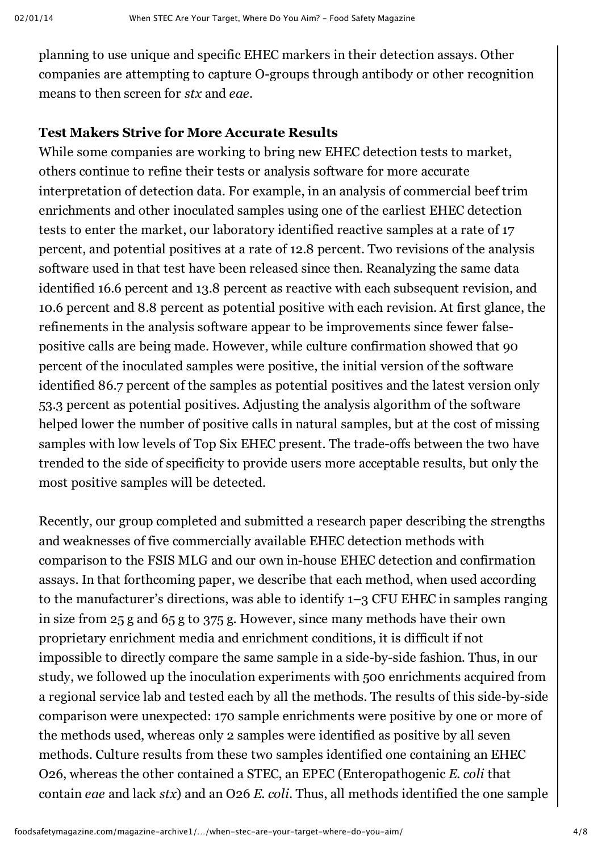planning to use unique and specific EHEC markers in their detection assays. Other companies are attempting to capture O-groups through antibody or other recognition means to then screen for *stx* and *eae*.

## **Test Makers Strive for More Accurate Results**

While some companies are working to bring new EHEC detection tests to market, others continue to refine their tests or analysis software for more accurate interpretation of detection data. For example, in an analysis of commercial beef trim enrichments and other inoculated samples using one of the earliest EHEC detection tests to enter the market, our laboratory identified reactive samples at a rate of 17 percent, and potential positives at a rate of 12.8 percent. Two revisions of the analysis software used in that test have been released since then. Reanalyzing the same data identified 16.6 percent and 13.8 percent as reactive with each subsequent revision, and 10.6 percent and 8.8 percent as potential positive with each revision. At first glance, the refinements in the analysis software appear to be improvements since fewer falsepositive calls are being made. However, while culture confirmation showed that 90 percent of the inoculated samples were positive, the initial version of the software identified 86.7 percent of the samples as potential positives and the latest version only 53.3 percent as potential positives. Adjusting the analysis algorithm of the software helped lower the number of positive calls in natural samples, but at the cost of missing samples with low levels of Top Six EHEC present. The trade-offs between the two have trended to the side of specificity to provide users more acceptable results, but only the most positive samples will be detected.

Recently, our group completed and submitted a research paper describing the strengths and weaknesses of five commercially available EHEC detection methods with comparison to the FSIS MLG and our own in-house EHEC detection and confirmation assays. In that forthcoming paper, we describe that each method, when used according to the manufacturer's directions, was able to identify 1–3 CFU EHEC in samples ranging in size from 25 g and 65 g to 375 g. However, since many methods have their own proprietary enrichment media and enrichment conditions, it is difficult if not impossible to directly compare the same sample in a side-by-side fashion. Thus, in our study, we followed up the inoculation experiments with 500 enrichments acquired from a regional service lab and tested each by all the methods. The results of this side-by-side comparison were unexpected: 170 sample enrichments were positive by one or more of the methods used, whereas only 2 samples were identified as positive by all seven methods. Culture results from these two samples identified one containing an EHEC O26, whereas the other contained a STEC, an EPEC (Enteropathogenic *E. coli* that contain *eae* and lack *stx*) and an O26 *E. coli*. Thus, all methods identified the one sample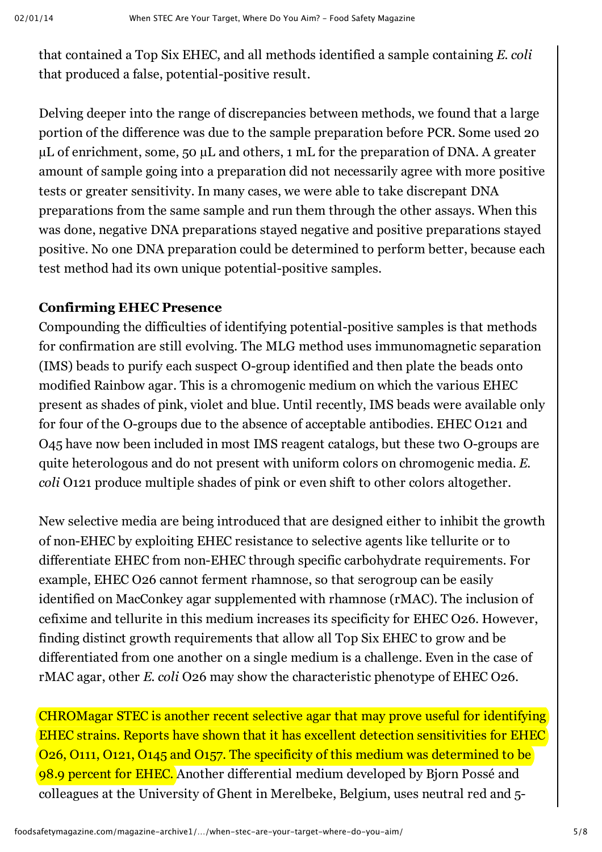that contained a Top Six EHEC, and all methods identified a sample containing *E. coli* that produced a false, potential-positive result.

Delving deeper into the range of discrepancies between methods, we found that a large portion of the difference was due to the sample preparation before PCR. Some used 20 µL of enrichment, some, 50 µL and others, 1 mL for the preparation of DNA. A greater amount of sample going into a preparation did not necessarily agree with more positive tests or greater sensitivity. In many cases, we were able to take discrepant DNA preparations from the same sample and run them through the other assays. When this was done, negative DNA preparations stayed negative and positive preparations stayed positive. No one DNA preparation could be determined to perform better, because each test method had its own unique potential-positive samples.

## **Confirming EHEC Presence**

Compounding the difficulties of identifying potential-positive samples is that methods for confirmation are still evolving. The MLG method uses immunomagnetic separation (IMS) beads to purify each suspect O-group identified and then plate the beads onto modified Rainbow agar. This is a chromogenic medium on which the various EHEC present as shades of pink, violet and blue. Until recently, IMS beads were available only for four of the O-groups due to the absence of acceptable antibodies. EHEC O121 and O45 have now been included in most IMS reagent catalogs, but these two O-groups are quite heterologous and do not present with uniform colors on chromogenic media. *E. coli* O121 produce multiple shades of pink or even shift to other colors altogether.

New selective media are being introduced that are designed either to inhibit the growth of nonEHEC by exploiting EHEC resistance to selective agents like tellurite or to differentiate EHEC from non-EHEC through specific carbohydrate requirements. For example, EHEC O26 cannot ferment rhamnose, so that serogroup can be easily identified on MacConkey agar supplemented with rhamnose (rMAC). The inclusion of cefixime and tellurite in this medium increases its specificity for EHEC O26. However, finding distinct growth requirements that allow all Top Six EHEC to grow and be differentiated from one another on a single medium is a challenge. Even in the case of rMAC agar, other *E. coli* O26 may show the characteristic phenotype of EHEC O26.

CHROMagar STEC is another recent selective agar that may prove useful for identifying EHEC strains. Reports have shown that it has excellent detection sensitivities for EHEC O26, O111, O121, O145 and O157. The specificity of this medium was determined to be 98.9 percent for EHEC. Another differential medium developed by Bjorn Possé and colleagues at the University of Ghent in Merelbeke, Belgium, uses neutral red and 5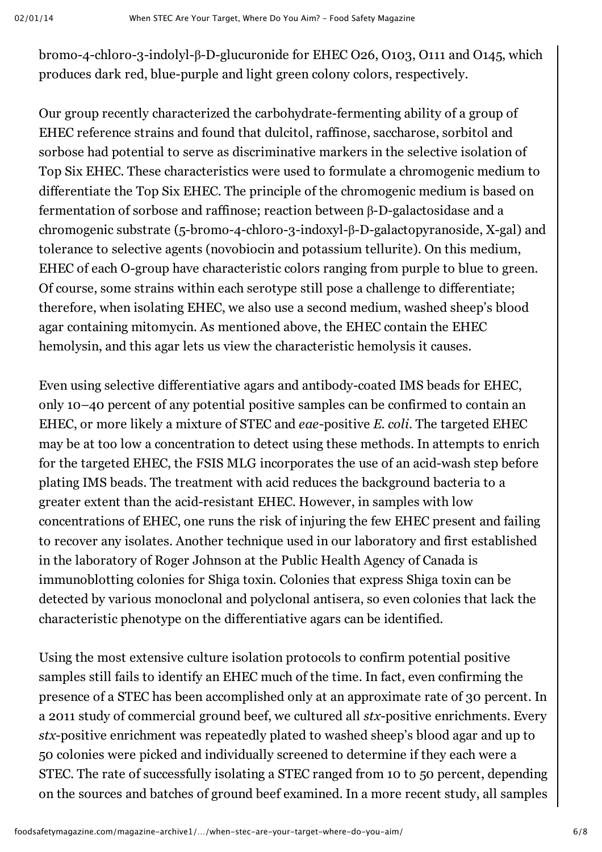bromo-4-chloro-3-indolyl-β-D-glucuronide for EHEC O26, O103, O111 and O145, which produces dark red, blue-purple and light green colony colors, respectively.

Our group recently characterized the carbohydrate-fermenting ability of a group of EHEC reference strains and found that dulcitol, raffinose, saccharose, sorbitol and sorbose had potential to serve as discriminative markers in the selective isolation of Top Six EHEC. These characteristics were used to formulate a chromogenic medium to differentiate the Top Six EHEC. The principle of the chromogenic medium is based on fermentation of sorbose and raffinose; reaction between  $β$ -D-galactosidase and a chromogenic substrate (5-bromo-4-chloro-3-indoxyl-β-D-galactopyranoside, X-gal) and tolerance to selective agents (novobiocin and potassium tellurite). On this medium, EHEC of each O-group have characteristic colors ranging from purple to blue to green. Of course, some strains within each serotype still pose a challenge to differentiate; therefore, when isolating EHEC, we also use a second medium, washed sheep's blood agar containing mitomycin. As mentioned above, the EHEC contain the EHEC hemolysin, and this agar lets us view the characteristic hemolysis it causes.

Even using selective differentiative agars and antibody-coated IMS beads for EHEC, only 10–40 percent of any potential positive samples can be confirmed to contain an EHEC, or more likely a mixture of STEC and *eae*-positive *E. coli*. The targeted EHEC may be at too low a concentration to detect using these methods. In attempts to enrich for the targeted EHEC, the FSIS MLG incorporates the use of an acid-wash step before plating IMS beads. The treatment with acid reduces the background bacteria to a greater extent than the acid-resistant EHEC. However, in samples with low concentrations of EHEC, one runs the risk of injuring the few EHEC present and failing to recover any isolates. Another technique used in our laboratory and first established in the laboratory of Roger Johnson at the Public Health Agency of Canada is immunoblotting colonies for Shiga toxin. Colonies that express Shiga toxin can be detected by various monoclonal and polyclonal antisera, so even colonies that lack the characteristic phenotype on the differentiative agars can be identified.

Using the most extensive culture isolation protocols to confirm potential positive samples still fails to identify an EHEC much of the time. In fact, even confirming the presence of a STEC has been accomplished only at an approximate rate of 30 percent. In a 2011 study of commercial ground beef, we cultured all *stx*-positive enrichments. Every *stx*-positive enrichment was repeatedly plated to washed sheep's blood agar and up to 50 colonies were picked and individually screened to determine if they each were a STEC. The rate of successfully isolating a STEC ranged from 10 to 50 percent, depending on the sources and batches of ground beef examined. In a more recent study, all samples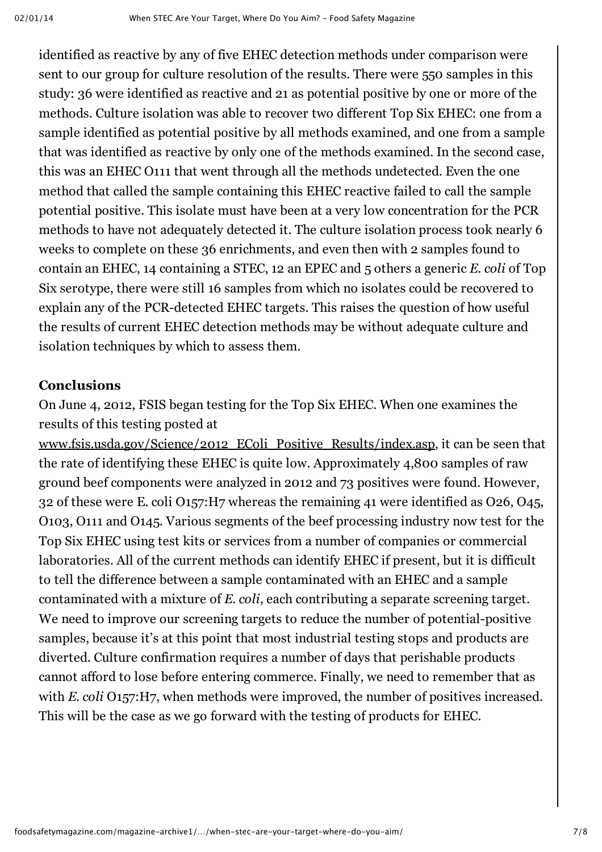identified as reactive by any of five EHEC detection methods under comparison were sent to our group for culture resolution of the results. There were 550 samples in this study: 36 were identified as reactive and 21 as potential positive by one or more of the methods. Culture isolation was able to recover two different Top Six EHEC: one from a sample identified as potential positive by all methods examined, and one from a sample that was identified as reactive by only one of the methods examined. In the second case, this was an EHEC O111 that went through all the methods undetected. Even the one method that called the sample containing this EHEC reactive failed to call the sample potential positive. This isolate must have been at a very low concentration for the PCR methods to have not adequately detected it. The culture isolation process took nearly 6 weeks to complete on these 36 enrichments, and even then with 2 samples found to contain an EHEC, 14 containing a STEC, 12 an EPEC and 5 others a generic *E. coli* of Top Six serotype, there were still 16 samples from which no isolates could be recovered to explain any of the PCR-detected EHEC targets. This raises the question of how useful the results of current EHEC detection methods may be without adequate culture and isolation techniques by which to assess them.

#### **Conclusions**

On June 4, 2012, FSIS began testing for the Top Six EHEC. When one examines the results of this testing posted at

www.fsis.usda.gov/Science/2012 EColi Positive Results/index.asp, it can be seen that the rate of identifying these EHEC is quite low. Approximately 4,800 samples of raw ground beef components were analyzed in 2012 and 73 positives were found. However, 32 of these were E. coli O157:H7 whereas the remaining 41 were identified as O26, O45, O103, O111 and O145. Various segments of the beef processing industry now test for the Top Six EHEC using test kits or services from a number of companies or commercial laboratories. All of the current methods can identify EHEC if present, but it is difficult to tell the difference between a sample contaminated with an EHEC and a sample contaminated with a mixture of *E. coli*, each contributing a separate screening target. We need to improve our screening targets to reduce the number of potential-positive samples, because it's at this point that most industrial testing stops and products are diverted. Culture confirmation requires a number of days that perishable products cannot afford to lose before entering commerce. Finally, we need to remember that as with *E. coli* O157:H7, when methods were improved, the number of positives increased. This will be the case as we go forward with the testing of products for EHEC.